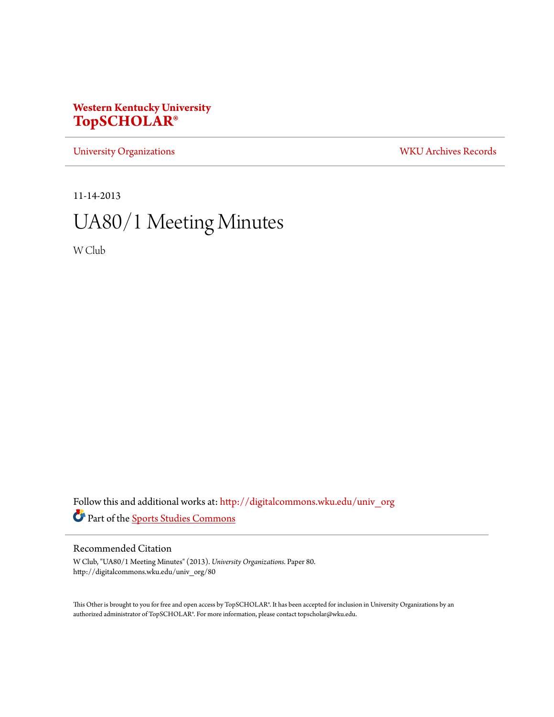## **Western Kentucky University [TopSCHOLAR®](http://digitalcommons.wku.edu?utm_source=digitalcommons.wku.edu%2Funiv_org%2F80&utm_medium=PDF&utm_campaign=PDFCoverPages)**

[University Organizations](http://digitalcommons.wku.edu/univ_org?utm_source=digitalcommons.wku.edu%2Funiv_org%2F80&utm_medium=PDF&utm_campaign=PDFCoverPages) [WKU Archives Records](http://digitalcommons.wku.edu/dlsc_ua_records?utm_source=digitalcommons.wku.edu%2Funiv_org%2F80&utm_medium=PDF&utm_campaign=PDFCoverPages)

11-14-2013

# UA80/1 Meeting Minutes

W Club

Follow this and additional works at: [http://digitalcommons.wku.edu/univ\\_org](http://digitalcommons.wku.edu/univ_org?utm_source=digitalcommons.wku.edu%2Funiv_org%2F80&utm_medium=PDF&utm_campaign=PDFCoverPages) Part of the [Sports Studies Commons](http://network.bepress.com/hgg/discipline/1198?utm_source=digitalcommons.wku.edu%2Funiv_org%2F80&utm_medium=PDF&utm_campaign=PDFCoverPages)

### Recommended Citation

W Club, "UA80/1 Meeting Minutes" (2013). *University Organizations.* Paper 80. http://digitalcommons.wku.edu/univ\_org/80

This Other is brought to you for free and open access by TopSCHOLAR®. It has been accepted for inclusion in University Organizations by an authorized administrator of TopSCHOLAR®. For more information, please contact topscholar@wku.edu.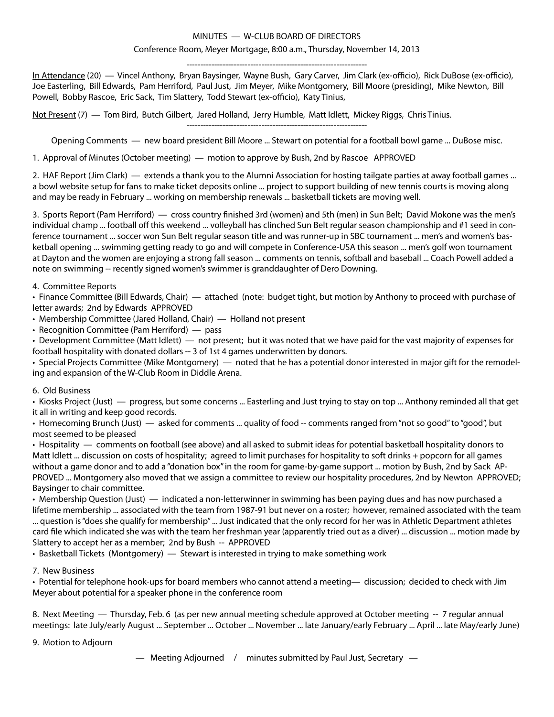#### MINUTES — W-CLUB BOARD OF DIRECTORS

#### Conference Room, Meyer Mortgage, 8:00 a.m., Thursday, November 14, 2013

----------------------------------------------------------------- In Attendance (20) — Vincel Anthony, Bryan Baysinger, Wayne Bush, Gary Carver, Jim Clark (ex-officio), Rick DuBose (ex-officio), Joe Easterling, Bill Edwards, Pam Herriford, Paul Just, Jim Meyer, Mike Montgomery, Bill Moore (presiding), Mike Newton, Bill Powell, Bobby Rascoe, Eric Sack, Tim Slattery, Todd Stewart (ex-officio), Katy Tinius,

Not Present (7) — Tom Bird, Butch Gilbert, Jared Holland, Jerry Humble, Matt Idlett, Mickey Riggs, Chris Tinius.

----------------------------------------------------------------- Opening Comments — new board president Bill Moore ... Stewart on potential for a football bowl game ... DuBose misc.

1. Approval of Minutes (October meeting) — motion to approve by Bush, 2nd by Rascoe APPROVED

2. HAF Report (Jim Clark) — extends a thank you to the Alumni Association for hosting tailgate parties at away football games ... a bowl website setup for fans to make ticket deposits online ... project to support building of new tennis courts is moving along and may be ready in February ... working on membership renewals ... basketball tickets are moving well.

3. Sports Report (Pam Herriford) — cross country finished 3rd (women) and 5th (men) in Sun Belt; David Mokone was the men's individual champ ... football off this weekend ... volleyball has clinched Sun Belt regular season championship and #1 seed in conference tournament ... soccer won Sun Belt regular season title and was runner-up in SBC tournament ... men's and women's basketball opening ... swimming getting ready to go and will compete in Conference-USA this season ... men's golf won tournament at Dayton and the women are enjoying a strong fall season ... comments on tennis, softball and baseball ... Coach Powell added a note on swimming -- recently signed women's swimmer is granddaughter of Dero Downing.

#### 4. Committee Reports

• Finance Committee (Bill Edwards, Chair) — attached (note: budget tight, but motion by Anthony to proceed with purchase of letter awards; 2nd by Edwards APPROVED

• Membership Committee (Jared Holland, Chair) — Holland not present

• Recognition Committee (Pam Herriford) — pass

• Development Committee (Matt Idlett) — not present; but it was noted that we have paid for the vast majority of expenses for football hospitality with donated dollars -- 3 of 1st 4 games underwritten by donors.

• Special Projects Committee (Mike Montgomery) — noted that he has a potential donor interested in major gift for the remodeling and expansion of the W-Club Room in Diddle Arena.

#### 6. Old Business

• Kiosks Project (Just) — progress, but some concerns ... Easterling and Just trying to stay on top ... Anthony reminded all that get it all in writing and keep good records.

• Homecoming Brunch (Just) — asked for comments ... quality of food -- comments ranged from "not so good" to "good", but most seemed to be pleased

• Hospitality — comments on football (see above) and all asked to submit ideas for potential basketball hospitality donors to Matt Idlett ... discussion on costs of hospitality; agreed to limit purchases for hospitality to soft drinks + popcorn for all games without a game donor and to add a "donation box" in the room for game-by-game support ... motion by Bush, 2nd by Sack AP-PROVED ... Montgomery also moved that we assign a committee to review our hospitality procedures, 2nd by Newton APPROVED; Baysinger to chair committee.

• Membership Question (Just) — indicated a non-letterwinner in swimming has been paying dues and has now purchased a lifetime membership ... associated with the team from 1987-91 but never on a roster; however, remained associated with the team ... question is "does she qualify for membership" ... Just indicated that the only record for her was in Athletic Department athletes card file which indicated she was with the team her freshman year (apparently tried out as a diver) ... discussion ... motion made by

Slattery to accept her as a member; 2nd by Bush -- APPROVED

• Basketball Tickets (Montgomery) — Stewart is interested in trying to make something work

#### 7. New Business

• Potential for telephone hook-ups for board members who cannot attend a meeting— discussion; decided to check with Jim Meyer about potential for a speaker phone in the conference room

8. Next Meeting — Thursday, Feb. 6 (as per new annual meeting schedule approved at October meeting -- 7 regular annual meetings: late July/early August ... September ... October ... November ... late January/early February ... April ... late May/early June)

9. Motion to Adjourn

— Meeting Adjourned / minutes submitted by Paul Just, Secretary —